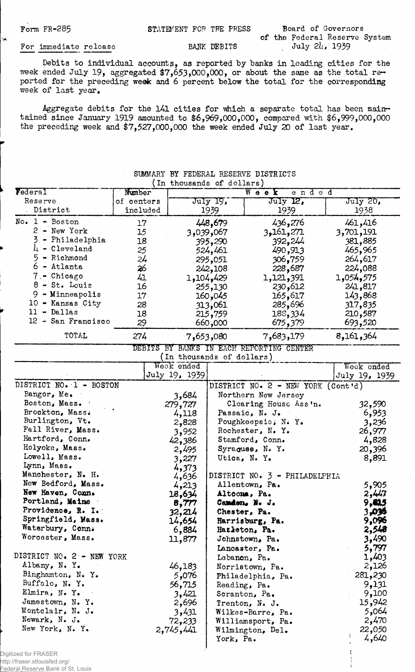ر<br>په

Form FR-285 STATEMENT FOR THE PRESS Board of Governors

of the Federal Reserve System

## For immediate release BANK DEBITS

Debits to individual accounts, as reported by banks in leading cities for the week ended July 19, aggregated  $\frac{1}{2}$ ,  $\frac{1}{2}$ ,  $\frac{1}{2}$ ,  $\frac{1}{2}$ ,  $\frac{1}{2}$ ,  $\frac{1}{2}$ ,  $\frac{1}{2}$ ,  $\frac{1}{2}$ ,  $\frac{1}{2}$ ,  $\frac{1}{2}$ ,  $\frac{1}{2}$ ,  $\frac{1}{2}$ ,  $\frac{1}{2}$ ,  $\frac{1}{2}$ ,  $\frac{1}{2}$ ,  $\frac{1}{2}$ ,  $\frac{1}{2}$ ,  $\frac$ ported for the preceding week and 6 percent below the total for the corresponding week of last year.

Aggregate debits for the 141 cities for which a separate total has been maintained since January 1919 amounted to \$6,969,000,000, compared with \$6,999,000,000 the preceding week and \$7,527,000,000 the week ended July 20 of last year.

| In thousands of dollars)   |            |                           |           |                                          |               |  |  |  |
|----------------------------|------------|---------------------------|-----------|------------------------------------------|---------------|--|--|--|
| Federal                    | Number     |                           |           | Wook<br>ended                            |               |  |  |  |
| Reserve                    | of centers |                           | July 19,  | July 12,                                 | July 20,      |  |  |  |
| District                   | included   |                           | 1939      | 1939                                     | 1938          |  |  |  |
| $No. 1 - Boston$           | 17         |                           | 448,679   | 436,276                                  | 461,416       |  |  |  |
| 2 - New York               | 15         |                           | 3,039,067 | 271, 161, 3                              | 3,701,191     |  |  |  |
| 3<br>- Philadelphia        | 18         |                           | 395,290   | 392,244                                  | 381,885       |  |  |  |
| $l_{\text{+}}$ - Cleveland | 25         |                           | 524,461   | 490,913                                  | 465,965       |  |  |  |
| 5 - Richmond               | 24         |                           | 295,051   | 306,759                                  | 264,617       |  |  |  |
| 6 - Atlanta                | 26         |                           | 242,108   | 228,687                                  | 224,088       |  |  |  |
| 7 - Chicago                | 41         |                           | 1,104,429 | 1,121,391                                | 1,054,575     |  |  |  |
| $8 - St.$ Louis            | 16         |                           | 255,130   | 230,612                                  | 241,817       |  |  |  |
| 9 - Minneapolis            | 17         |                           | 160,045   | 165,617                                  | 143,868       |  |  |  |
| 10 - Kansas City           | 28         |                           | 313,061   | 285,696                                  | 317,835       |  |  |  |
| $11 - Dallas$              | 18         |                           | 215,759   | 188,334                                  | 210,587       |  |  |  |
| 12 - San Francisco         | 29         |                           | 660,000   | 675,379                                  | 693,520       |  |  |  |
| TOTAL                      | 274        |                           | 7,653,080 | 7,683,179                                | 8,161,364     |  |  |  |
|                            |            |                           |           | DEBITS BY BANKS IN EACH REPORTING CENTER |               |  |  |  |
|                            |            | (In thousands of dollars) |           |                                          |               |  |  |  |
|                            |            | Week ended                |           |                                          | Weck ended    |  |  |  |
|                            |            | July 19, 1939             |           |                                          | July 19, 1939 |  |  |  |
| DISTRICT NO. 1 - BOSTON    |            |                           |           | DISTRICT NO. 2 - NEW YORK (Cont'd)       |               |  |  |  |
| Bangor, Me.                |            | 3,684                     |           | Northern New Jersey                      |               |  |  |  |
| Boston, Mass.              |            | 279,727                   |           | Clearing House Ass'n.                    | 32,590        |  |  |  |
| Brockton, Mass.            |            | 4,118                     |           | Passaic, N. J.                           | 6,953         |  |  |  |
| Burlington, Vt.            |            | 2,828                     |           | Poughkeepsie; N. Y.                      | 3,236         |  |  |  |
| Fall River, Mass.          |            | 3,952                     |           | Rochester, N. Y.                         | 26,977        |  |  |  |
| Hartford, Conn.            |            | 42,386                    |           | Stamford, Conn.                          | 4,828         |  |  |  |
| Holyoke, Mass.             |            | 2,495                     |           | Syraquee, N.Y.                           | 20,396        |  |  |  |
| Lowell, Mass.              |            | 3,227                     |           | Utica, N. Y.                             | 8,891         |  |  |  |
| Lynn, Mass.                |            | 4,373                     |           |                                          |               |  |  |  |
| Manchester, N. H.          |            | 4,636                     |           | DISTRICT NO. 3 - PHILADELPHIA            |               |  |  |  |
| New Bedford, Mass.         |            | 4,213                     |           | Allentown, Pa.                           | 5,905         |  |  |  |
| New Haven, Comm.           |            | 18,634                    |           | Altoons, Pa.                             | 2,447         |  |  |  |
| Portland, Maine            |            | 8,777                     |           | Camdon. N. J.                            | 9,415         |  |  |  |
| Providence, R. I.          |            | 32,214                    |           | Chester, Pa.                             | 3,096         |  |  |  |
| Springfield, Mass.         |            | 14,654                    |           | Harrisburg, Pa.                          | 9,096         |  |  |  |
| Waterbury, Conn.           |            | 6,884                     |           | Hazleton, Pa.                            | 2,548         |  |  |  |
| Worcester, Mass.           |            | 11,877                    |           | Johnstown, Pa.                           | 3,490         |  |  |  |
|                            |            |                           |           | Lancaster, Pa.                           | 5,797         |  |  |  |
| DISTRICT NO. 2 - NEW YORK  |            |                           |           | Lebanon, Pa.                             | 1,403         |  |  |  |
| Albany, N.Y.               |            | 46,183                    |           | Norristown, Pa.                          | 2,126         |  |  |  |
| Binghamton, N.Y.           |            | 5,076                     |           | Philadelphia, Pa.                        | 281,230       |  |  |  |
| Buffalo, N.Y.              |            | 56,715                    |           | Reading, Pa.                             | 9,131         |  |  |  |
| Elmira, N.Y.               |            | 3,421                     |           | Scranton, Pa.                            | 9,100         |  |  |  |
| Jamestown, N.Y.            |            | 2,696                     |           | Trenton, N. J.                           | 15,942        |  |  |  |
| Montclair, N. J.           |            | 3,431                     |           | Wilkes-Barre, Pa.                        | 5,064         |  |  |  |
| Newark, N. J.              |            | 72,233                    |           | Williamsport, Pa.                        | 2,470         |  |  |  |
| New York, N.Y.             |            | 2,745,441                 |           | Wilmington, Del.                         | 22,050        |  |  |  |
|                            |            |                           | York, Pa. |                                          | 4,640         |  |  |  |
|                            |            |                           |           |                                          |               |  |  |  |

SUMMARY BY FEDERAL RESERVE DISTRICTS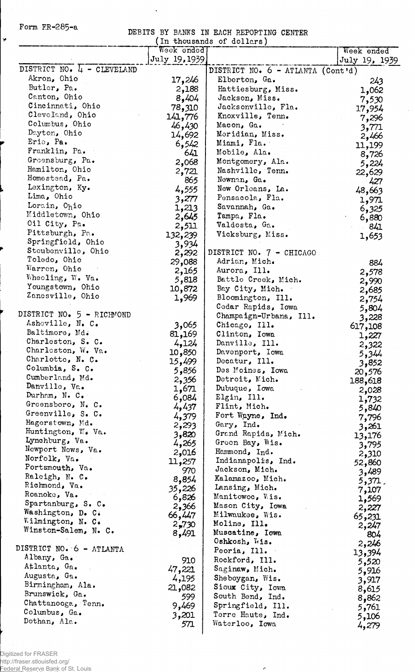Form  $FR-285-a$ 

 $\check{\mathbf{v}}$ 

 $\frac{1}{2}$ 

DEBITS BY BAMS IN EACH REPORTING CENTER

 $\hat{\mathcal{A}}$ 

 $\mathcal{L}_{\mathbf{a}}$ 

| In thousands of dollars)           |                  |                                      |                 |  |  |  |  |  |
|------------------------------------|------------------|--------------------------------------|-----------------|--|--|--|--|--|
|                                    | Week ended       |                                      | Week ended      |  |  |  |  |  |
| DISTRICT NO. 4 - CLEVELAND         | July 19, 1939    |                                      | July 19, 1939   |  |  |  |  |  |
| Akron, Ohio                        |                  | DISTRICT NO. 6 - ATLANTA (Cont'd)    |                 |  |  |  |  |  |
| Butler, Pa.                        | 17,246           | Elberton, Ga.                        | 243             |  |  |  |  |  |
| Canton, Ohio                       | 2,188            | Hattiesburg, Miss.                   | 1,062           |  |  |  |  |  |
| Cincinnati, Ohio                   | 8,404            | Jackson, Miss.<br>Jacksonville, Fla. | 7,530           |  |  |  |  |  |
| Cleveland, Ohio                    | 78,310           | Knoxville, Tenn.                     | 17,954          |  |  |  |  |  |
| Columbus, Ohio                     | 141,776          | Macon, Ga.                           | 7,296           |  |  |  |  |  |
| Dayton, Ohio                       | 46,430<br>14,692 | Meridian, Miss.                      | 3,771           |  |  |  |  |  |
| Erie, Pa.                          | 6,542            | Miami, Fla.                          | 2,466           |  |  |  |  |  |
| Franklin, Pa.                      | 641              | Mobile, Ala.                         | 11,199          |  |  |  |  |  |
| Groensburg, Pa.                    | 2,068            | Montgomery, Ala.                     | 8,726           |  |  |  |  |  |
| Hamilton, Ohio                     | 2,721            | Nashville, Tenn.                     | 5,224           |  |  |  |  |  |
| Homestead, Pa.                     | 865              | Newnan, Ga.                          | 22,629<br>427   |  |  |  |  |  |
| Lexington, Ky.                     | 4,555            | New Orleans, La.                     | 48,663          |  |  |  |  |  |
| Lima, Ohio                         | 3,277            | Pensacola, Fla.                      | 1,971           |  |  |  |  |  |
| Lorain, Ohio                       | 1,213            | Savannah, Ga.                        | 6,325           |  |  |  |  |  |
| Middletown, Ohio                   | 2,645            | Tampa, Fla.                          | 6,880           |  |  |  |  |  |
| Oil City, Pa.                      | 2,511            | Valdosta, Ga.                        | - 841           |  |  |  |  |  |
| Pittsburgh, Pa.                    | 132,239          | Vicksburg, Miss.                     | 1,653           |  |  |  |  |  |
| Springfield, Ohio                  | 3,934            |                                      |                 |  |  |  |  |  |
| Steubenville, Ohio                 | 2,292            | DISTRICT NO. 7 - CHICAGO             |                 |  |  |  |  |  |
| Toledo, Ohio                       | 29,088           | Adrian, Mich.                        | 884             |  |  |  |  |  |
| Warren, Ohio                       | 2,165            | Aurora, Ill.                         | 2,578           |  |  |  |  |  |
| Wheeling, W. Va.                   | 5,818            | Battle Creek, Mich.                  | 2,990           |  |  |  |  |  |
| Youngstown, Ohio                   | 10,872           | Bay City, Mich.                      | 2,685           |  |  |  |  |  |
| Zanesville, Ohio                   | 1,969            | Bloomington, Ill.                    | 2,754           |  |  |  |  |  |
|                                    |                  | Cedar Rapids, Iowa                   | 5,804           |  |  |  |  |  |
| DISTRICT NO. 5 - RICHMOND          |                  | Champaign-Urbana, Ill.               | 3,228           |  |  |  |  |  |
| Asheville, N. C.                   | 3,065            | Chicago, Ill.                        | 617,108         |  |  |  |  |  |
| Baltimore, Md.                     | 81,169           | Clinton, Iowa                        | 1,227           |  |  |  |  |  |
| Charleston, S. C.                  | 4,124            | Danville, Ill.                       | 2,322           |  |  |  |  |  |
| Charleston, W. Va.                 | 10,850           | Davenport, Iowa                      | 5,344           |  |  |  |  |  |
| Charlotte, N. C.                   | 15,499           | Decatur, Ill.                        | 3,852           |  |  |  |  |  |
| Columbia, S. C.<br>Cumberland, Md. | 5,856            | Des Moines, Iowa                     | 20,576          |  |  |  |  |  |
| Danville, Va.                      | 2,356            | Detroit, Mich.                       | 188,618         |  |  |  |  |  |
| Durham, $N_C$ .                    | 1,671            | Dubuque, Iowa                        | 2,028           |  |  |  |  |  |
| Greensboro, N. C.                  | 6,084            | Elgin, Ill.                          | 1,732           |  |  |  |  |  |
| Greenville, S. C.                  | 4,437            | Flint, Mich.                         | 5,840           |  |  |  |  |  |
| Hagerstown, Md.                    | 4,379            | Fort Wayne, Ind.<br>Gary, Ind.       | 7,796           |  |  |  |  |  |
| Huntington, W. Va.                 | 2,293            | Grand Rapids, Mich.                  | 3,261           |  |  |  |  |  |
| Lynchburg, Va.                     | 3,820<br>4,265   | Green Bay, Wis.                      | 13,176          |  |  |  |  |  |
| Newport News, Va.                  | 2,016            | Hammond, Ind.                        | 3,795           |  |  |  |  |  |
| Norfolk, Va.                       | 11,257           | Indianapolis, Ind.                   | 2,310           |  |  |  |  |  |
| Portsmouth, Va.                    | 970              | Jackson, Mich.                       | 52,860          |  |  |  |  |  |
| Raleigh, N. C.                     | 8,854            | Kalamazoo, Mich.                     | 3,489           |  |  |  |  |  |
| Richmond, Va.                      | 35,226           | Lansing, Mich.                       | 5,371.<br>7,107 |  |  |  |  |  |
| Roanoke, Va.                       | 6,826            | Manitowoc, Wis.                      | 1,569           |  |  |  |  |  |
| Spartanburg, S. C.                 | 2,366            | Mason City, Iowa                     | 2,227           |  |  |  |  |  |
| Washington, D. C.                  | 66,447           | Milwaukee, Wis.                      | 65,231          |  |  |  |  |  |
| Wilmington, N. C.                  | 2,730            | Moline, Ill.                         | 2,247           |  |  |  |  |  |
| Winston-Salem, N. C.               | 8,491            | Muscatine, Iowa                      | 804             |  |  |  |  |  |
|                                    |                  | Oshkosh, Wis.                        | 2,246           |  |  |  |  |  |
| DISTRICT NO. 6 - ATLANTA           |                  | Peoria, Ill.                         | 13,394          |  |  |  |  |  |
| Albany, Ga.                        | 910              | Rockford, Ill.                       | 5,520           |  |  |  |  |  |
| Atlanta, Ga.                       | 47,221           | Saginaw, Mich.                       | 5,916           |  |  |  |  |  |
| Augusta, Ga.                       | 4,195            | Sheboygan, Wis.                      | 3,917           |  |  |  |  |  |
| Birmingham, Ala.                   | 21,082           | Sioux City, Iowa                     | 8,615           |  |  |  |  |  |
| Brunswick, Ga.                     | 599              | South Bend, Ind.                     | 8,862           |  |  |  |  |  |
| Chattanooga, Tenn.                 | 9,469            | Springfield, Ill.                    | 5,761           |  |  |  |  |  |
| Columbus, Ga.                      | 3,201            | Terre Haute, Ind.                    | 5,106           |  |  |  |  |  |
| Dothan, Ala.                       | 571              | Waterloo, Iowa                       | 4,279           |  |  |  |  |  |
|                                    |                  |                                      |                 |  |  |  |  |  |

 $\boldsymbol{\sigma}$